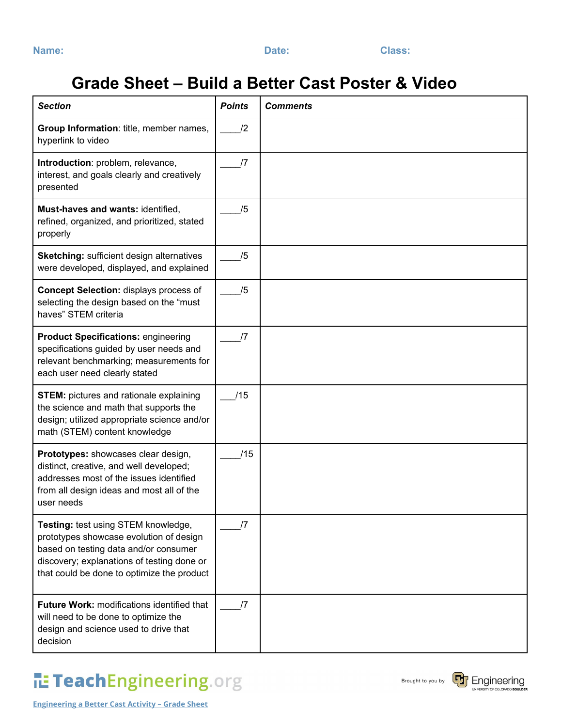| _____ | ., | ۰, |  |
|-------|----|----|--|

**Name: Date: Class:**

## **Grade Sheet – Build a Better Cast Poster & Video**

| <b>Section</b>                                                                                                                                                                                                      | <b>Points</b> | <b>Comments</b> |
|---------------------------------------------------------------------------------------------------------------------------------------------------------------------------------------------------------------------|---------------|-----------------|
| Group Information: title, member names,<br>hyperlink to video                                                                                                                                                       | $\mathbf{12}$ |                 |
| Introduction: problem, relevance,<br>interest, and goals clearly and creatively<br>presented                                                                                                                        | $\sqrt{7}$    |                 |
| Must-haves and wants: identified,<br>refined, organized, and prioritized, stated<br>properly                                                                                                                        | /5            |                 |
| <b>Sketching: sufficient design alternatives</b><br>were developed, displayed, and explained                                                                                                                        | /5            |                 |
| <b>Concept Selection: displays process of</b><br>selecting the design based on the "must<br>haves" STEM criteria                                                                                                    | /5            |                 |
| <b>Product Specifications: engineering</b><br>specifications guided by user needs and<br>relevant benchmarking; measurements for<br>each user need clearly stated                                                   | /7            |                 |
| <b>STEM:</b> pictures and rationale explaining<br>the science and math that supports the<br>design; utilized appropriate science and/or<br>math (STEM) content knowledge                                            | /15           |                 |
| Prototypes: showcases clear design,<br>distinct, creative, and well developed;<br>addresses most of the issues identified<br>from all design ideas and most all of the<br>user needs                                | /15           |                 |
| Testing: test using STEM knowledge,<br>prototypes showcase evolution of design<br>based on testing data and/or consumer<br>discovery; explanations of testing done or<br>that could be done to optimize the product | /7            |                 |
| Future Work: modifications identified that<br>will need to be done to optimize the<br>design and science used to drive that<br>decision                                                                             | /7            |                 |

## TeachEngineering.org